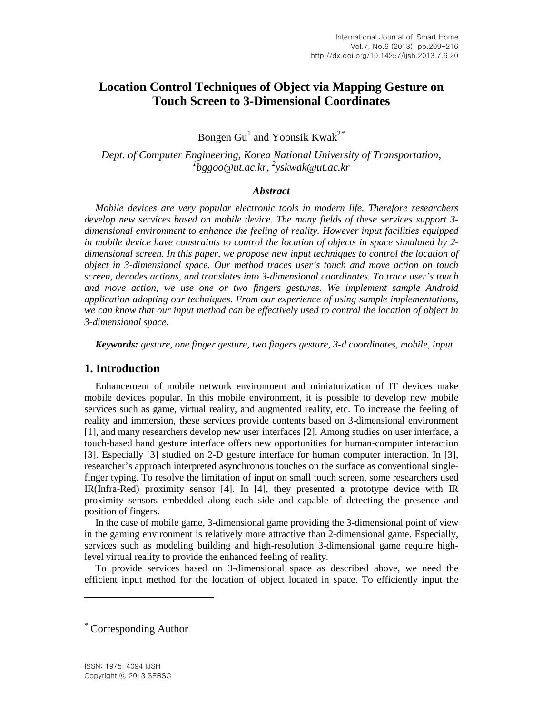# **Location Control Techniques of Object via Mapping Gesture on Touch Screen to 3-Dimensional Coordinates**

Bongen Gu<sup>1</sup> and Yoonsik Kwak<sup>2[\\*](#page-0-0)</sup>

*Dept. of Computer Engineering, Korea National University of Transportation, 1 bggoo@ut.ac.kr, 2 yskwak@ut.ac.kr*

#### *Abstract*

*Mobile devices are very popular electronic tools in modern life. Therefore researchers develop new services based on mobile device. The many fields of these services support 3 dimensional environment to enhance the feeling of reality. However input facilities equipped in mobile device have constraints to control the location of objects in space simulated by 2 dimensional screen. In this paper, we propose new input techniques to control the location of object in 3-dimensional space. Our method traces user's touch and move action on touch screen, decodes actions, and translates into 3-dimensional coordinates. To trace user's touch and move action, we use one or two fingers gestures. We implement sample Android application adopting our techniques. From our experience of using sample implementations, we can know that our input method can be effectively used to control the location of object in 3-dimensional space.*

*Keywords: gesture, one finger gesture, two fingers gesture, 3-d coordinates, mobile, input*

## **1. Introduction**

Enhancement of mobile network environment and miniaturization of IT devices make mobile devices popular. In this mobile environment, it is possible to develop new mobile services such as game, virtual reality, and augmented reality, etc. To increase the feeling of reality and immersion, these services provide contents based on 3-dimensional environment [1], and many researchers develop new user interfaces [2]. Among studies on user interface, a touch-based hand gesture interface offers new opportunities for human-computer interaction [3]. Especially [3] studied on 2-D gesture interface for human computer interaction. In [3], researcher's approach interpreted asynchronous touches on the surface as conventional singlefinger typing. To resolve the limitation of input on small touch screen, some researchers used IR(Infra-Red) proximity sensor [4]. In [4], they presented a prototype device with IR proximity sensors embedded along each side and capable of detecting the presence and position of fingers.

In the case of mobile game, 3-dimensional game providing the 3-dimensional point of view in the gaming environment is relatively more attractive than 2-dimensional game. Especially, services such as modeling building and high-resolution 3-dimensional game require highlevel virtual reality to provide the enhanced feeling of reality.

To provide services based on 3-dimensional space as described above, we need the efficient input method for the location of object located in space. To efficiently input the

l

<span id="page-0-0"></span><sup>\*</sup> Corresponding Author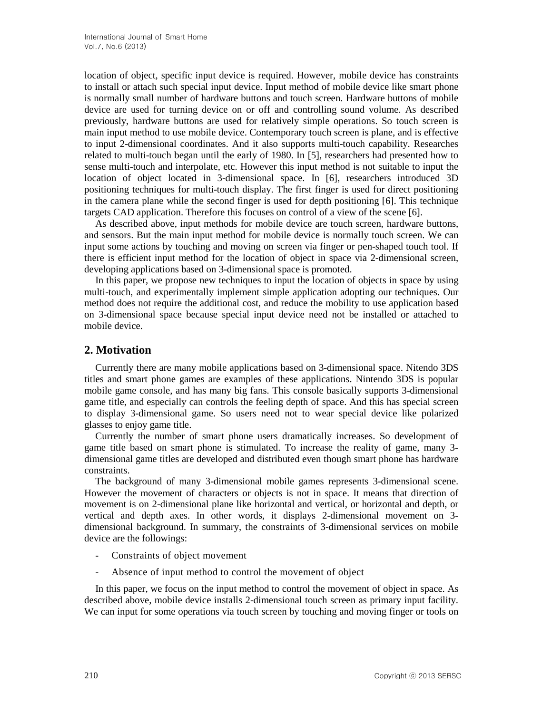location of object, specific input device is required. However, mobile device has constraints to install or attach such special input device. Input method of mobile device like smart phone is normally small number of hardware buttons and touch screen. Hardware buttons of mobile device are used for turning device on or off and controlling sound volume. As described previously, hardware buttons are used for relatively simple operations. So touch screen is main input method to use mobile device. Contemporary touch screen is plane, and is effective to input 2-dimensional coordinates. And it also supports multi-touch capability. Researches related to multi-touch began until the early of 1980. In [5], researchers had presented how to sense multi-touch and interpolate, etc. However this input method is not suitable to input the location of object located in 3-dimensional space. In [6], researchers introduced 3D positioning techniques for multi-touch display. The first finger is used for direct positioning in the camera plane while the second finger is used for depth positioning [6]. This technique targets CAD application. Therefore this focuses on control of a view of the scene [6].

As described above, input methods for mobile device are touch screen, hardware buttons, and sensors. But the main input method for mobile device is normally touch screen. We can input some actions by touching and moving on screen via finger or pen-shaped touch tool. If there is efficient input method for the location of object in space via 2-dimensional screen, developing applications based on 3-dimensional space is promoted.

In this paper, we propose new techniques to input the location of objects in space by using multi-touch, and experimentally implement simple application adopting our techniques. Our method does not require the additional cost, and reduce the mobility to use application based on 3-dimensional space because special input device need not be installed or attached to mobile device.

## **2. Motivation**

Currently there are many mobile applications based on 3-dimensional space. Nitendo 3DS titles and smart phone games are examples of these applications. Nintendo 3DS is popular mobile game console, and has many big fans. This console basically supports 3-dimensional game title, and especially can controls the feeling depth of space. And this has special screen to display 3-dimensional game. So users need not to wear special device like polarized glasses to enjoy game title.

Currently the number of smart phone users dramatically increases. So development of game title based on smart phone is stimulated. To increase the reality of game, many 3 dimensional game titles are developed and distributed even though smart phone has hardware constraints.

The background of many 3-dimensional mobile games represents 3-dimensional scene. However the movement of characters or objects is not in space. It means that direction of movement is on 2-dimensional plane like horizontal and vertical, or horizontal and depth, or vertical and depth axes. In other words, it displays 2-dimensional movement on 3 dimensional background. In summary, the constraints of 3-dimensional services on mobile device are the followings:

- Constraints of object movement
- Absence of input method to control the movement of object

In this paper, we focus on the input method to control the movement of object in space. As described above, mobile device installs 2-dimensional touch screen as primary input facility. We can input for some operations via touch screen by touching and moving finger or tools on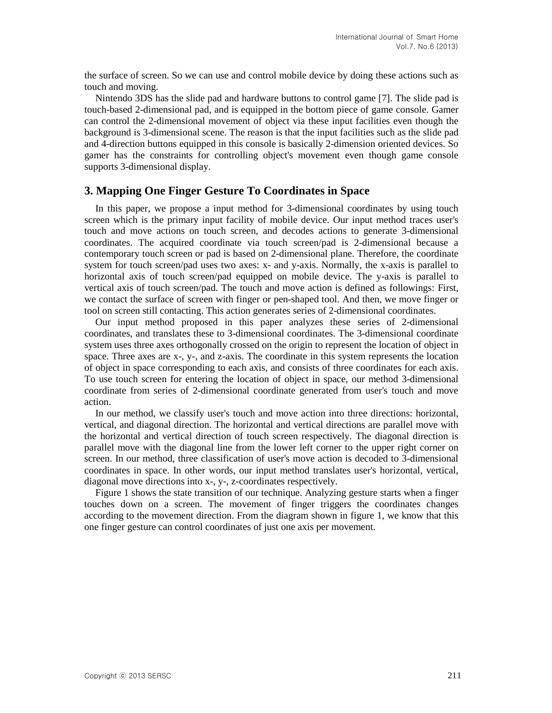the surface of screen. So we can use and control mobile device by doing these actions such as touch and moving.

Nintendo 3DS has the slide pad and hardware buttons to control game [7]. The slide pad is touch-based 2-dimensional pad, and is equipped in the bottom piece of game console. Gamer can control the 2-dimensional movement of object via these input facilities even though the background is 3-dimensional scene. The reason is that the input facilities such as the slide pad and 4-direction buttons equipped in this console is basically 2-dimension oriented devices. So gamer has the constraints for controlling object's movement even though game console supports 3-dimensional display.

## **3. Mapping One Finger Gesture To Coordinates in Space**

In this paper, we propose a input method for 3-dimensional coordinates by using touch screen which is the primary input facility of mobile device. Our input method traces user's touch and move actions on touch screen, and decodes actions to generate 3-dimensional coordinates. The acquired coordinate via touch screen/pad is 2-dimensional because a contemporary touch screen or pad is based on 2-dimensional plane. Therefore, the coordinate system for touch screen/pad uses two axes: x- and y-axis. Normally, the x-axis is parallel to horizontal axis of touch screen/pad equipped on mobile device. The y-axis is parallel to vertical axis of touch screen/pad. The touch and move action is defined as followings: First, we contact the surface of screen with finger or pen-shaped tool. And then, we move finger or tool on screen still contacting. This action generates series of 2-dimensional coordinates.

Our input method proposed in this paper analyzes these series of 2-dimensional coordinates, and translates these to 3-dimensional coordinates. The 3-dimensional coordinate system uses three axes orthogonally crossed on the origin to represent the location of object in space. Three axes are x-, y-, and z-axis. The coordinate in this system represents the location of object in space corresponding to each axis, and consists of three coordinates for each axis. To use touch screen for entering the location of object in space, our method 3-dimensional coordinate from series of 2-dimensional coordinate generated from user's touch and move action.

In our method, we classify user's touch and move action into three directions: horizontal, vertical, and diagonal direction. The horizontal and vertical directions are parallel move with the horizontal and vertical direction of touch screen respectively. The diagonal direction is parallel move with the diagonal line from the lower left corner to the upper right corner on screen. In our method, three classification of user's move action is decoded to 3-dimensional coordinates in space. In other words, our input method translates user's horizontal, vertical, diagonal move directions into x-, y-, z-coordinates respectively.

Figure 1 shows the state transition of our technique. Analyzing gesture starts when a finger touches down on a screen. The movement of finger triggers the coordinates changes according to the movement direction. From the diagram shown in figure 1, we know that this one finger gesture can control coordinates of just one axis per movement.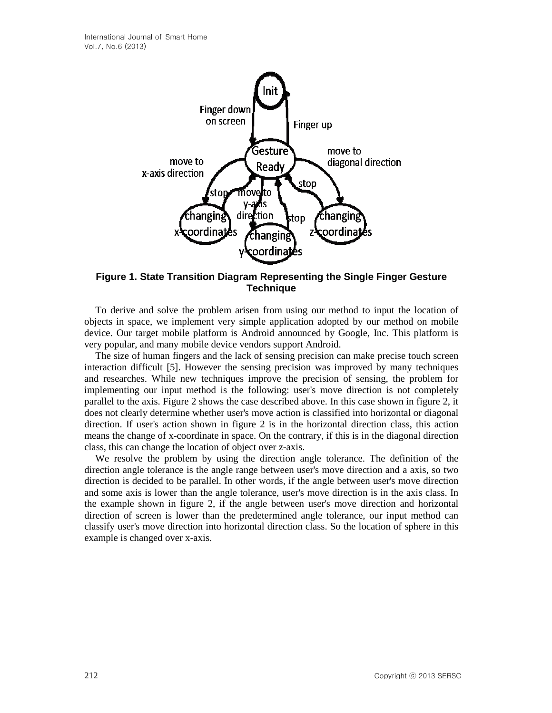

**Figure 1. State Transition Diagram Representing the Single Finger Gesture Technique**

To derive and solve the problem arisen from using our method to input the location of objects in space, we implement very simple application adopted by our method on mobile device. Our target mobile platform is Android announced by Google, Inc. This platform is very popular, and many mobile device vendors support Android.

The size of human fingers and the lack of sensing precision can make precise touch screen interaction difficult [5]. However the sensing precision was improved by many techniques and researches. While new techniques improve the precision of sensing, the problem for implementing our input method is the following: user's move direction is not completely parallel to the axis. Figure 2 shows the case described above. In this case shown in figure 2, it does not clearly determine whether user's move action is classified into horizontal or diagonal direction. If user's action shown in figure 2 is in the horizontal direction class, this action means the change of x-coordinate in space. On the contrary, if this is in the diagonal direction class, this can change the location of object over z-axis.

We resolve the problem by using the direction angle tolerance. The definition of the direction angle tolerance is the angle range between user's move direction and a axis, so two direction is decided to be parallel. In other words, if the angle between user's move direction and some axis is lower than the angle tolerance, user's move direction is in the axis class. In the example shown in figure 2, if the angle between user's move direction and horizontal direction of screen is lower than the predetermined angle tolerance, our input method can classify user's move direction into horizontal direction class. So the location of sphere in this example is changed over x-axis.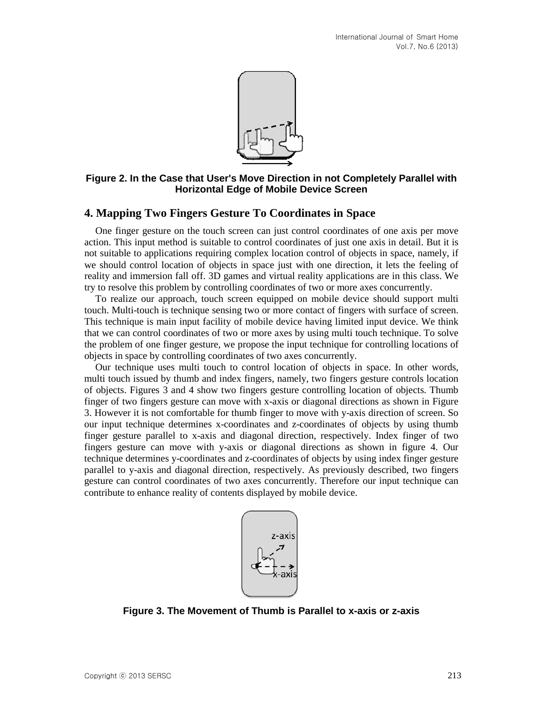

**Figure 2. In the Case that User's Move Direction in not Completely Parallel with Horizontal Edge of Mobile Device Screen**

## **4. Mapping Two Fingers Gesture To Coordinates in Space**

One finger gesture on the touch screen can just control coordinates of one axis per move action. This input method is suitable to control coordinates of just one axis in detail. But it is not suitable to applications requiring complex location control of objects in space, namely, if we should control location of objects in space just with one direction, it lets the feeling of reality and immersion fall off. 3D games and virtual reality applications are in this class. We try to resolve this problem by controlling coordinates of two or more axes concurrently.

To realize our approach, touch screen equipped on mobile device should support multi touch. Multi-touch is technique sensing two or more contact of fingers with surface of screen. This technique is main input facility of mobile device having limited input device. We think that we can control coordinates of two or more axes by using multi touch technique. To solve the problem of one finger gesture, we propose the input technique for controlling locations of objects in space by controlling coordinates of two axes concurrently.

Our technique uses multi touch to control location of objects in space. In other words, multi touch issued by thumb and index fingers, namely, two fingers gesture controls location of objects. Figures 3 and 4 show two fingers gesture controlling location of objects. Thumb finger of two fingers gesture can move with x-axis or diagonal directions as shown in Figure 3. However it is not comfortable for thumb finger to move with y-axis direction of screen. So our input technique determines x-coordinates and z-coordinates of objects by using thumb finger gesture parallel to x-axis and diagonal direction, respectively. Index finger of two fingers gesture can move with y-axis or diagonal directions as shown in figure 4. Our technique determines y-coordinates and z-coordinates of objects by using index finger gesture parallel to y-axis and diagonal direction, respectively. As previously described, two fingers gesture can control coordinates of two axes concurrently. Therefore our input technique can contribute to enhance reality of contents displayed by mobile device.



**Figure 3. The Movement of Thumb is Parallel to x-axis or z-axis**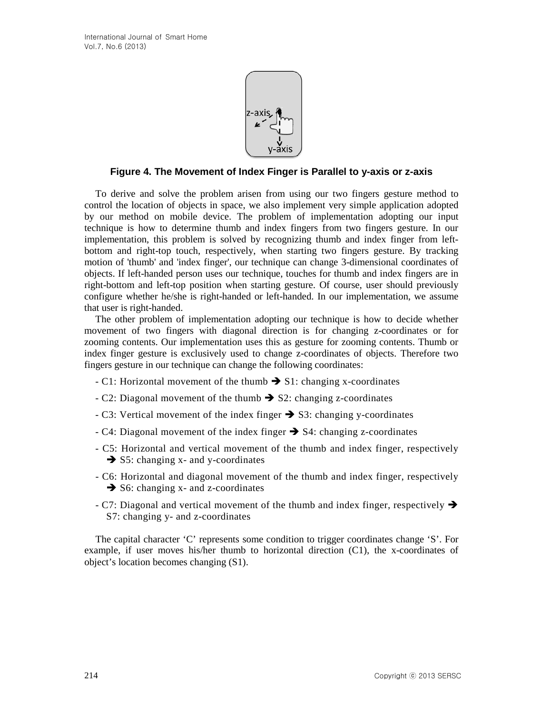

#### **Figure 4. The Movement of Index Finger is Parallel to y-axis or z-axis**

To derive and solve the problem arisen from using our two fingers gesture method to control the location of objects in space, we also implement very simple application adopted by our method on mobile device. The problem of implementation adopting our input technique is how to determine thumb and index fingers from two fingers gesture. In our implementation, this problem is solved by recognizing thumb and index finger from leftbottom and right-top touch, respectively, when starting two fingers gesture. By tracking motion of 'thumb' and 'index finger', our technique can change 3-dimensional coordinates of objects. If left-handed person uses our technique, touches for thumb and index fingers are in right-bottom and left-top position when starting gesture. Of course, user should previously configure whether he/she is right-handed or left-handed. In our implementation, we assume that user is right-handed.

The other problem of implementation adopting our technique is how to decide whether movement of two fingers with diagonal direction is for changing z-coordinates or for zooming contents. Our implementation uses this as gesture for zooming contents. Thumb or index finger gesture is exclusively used to change z-coordinates of objects. Therefore two fingers gesture in our technique can change the following coordinates:

- C1: Horizontal movement of the thumb  $\rightarrow$  S1: changing x-coordinates
- $\text{- C2: Diagonal movement of the thumb}$   $\rightarrow$  S2: changing z-coordinates
- $\sim$  C3: Vertical movement of the index finger  $\rightarrow$  S3: changing y-coordinates
- $-C4$ : Diagonal movement of the index finger  $\rightarrow$  S4: changing z-coordinates
- C5: Horizontal and vertical movement of the thumb and index finger, respectively  $\rightarrow$  S5: changing x- and y-coordinates
- C6: Horizontal and diagonal movement of the thumb and index finger, respectively  $\rightarrow$  S6: changing x- and z-coordinates
- $\sim$  C7: Diagonal and vertical movement of the thumb and index finger, respectively  $\rightarrow$ S7: changing y- and z-coordinates

The capital character 'C' represents some condition to trigger coordinates change 'S'. For example, if user moves his/her thumb to horizontal direction (C1), the x-coordinates of object's location becomes changing (S1).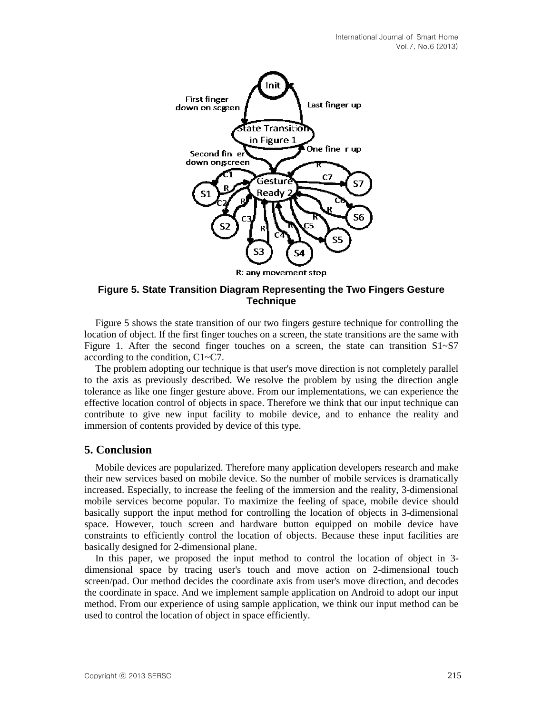

#### **Figure 5. State Transition Diagram Representing the Two Fingers Gesture Technique**

Figure 5 shows the state transition of our two fingers gesture technique for controlling the location of object. If the first finger touches on a screen, the state transitions are the same with Figure 1. After the second finger touches on a screen, the state can transition S1~S7 according to the condition, C1~C7.

The problem adopting our technique is that user's move direction is not completely parallel to the axis as previously described. We resolve the problem by using the direction angle tolerance as like one finger gesture above. From our implementations, we can experience the effective location control of objects in space. Therefore we think that our input technique can contribute to give new input facility to mobile device, and to enhance the reality and immersion of contents provided by device of this type.

## **5. Conclusion**

Mobile devices are popularized. Therefore many application developers research and make their new services based on mobile device. So the number of mobile services is dramatically increased. Especially, to increase the feeling of the immersion and the reality, 3-dimensional mobile services become popular. To maximize the feeling of space, mobile device should basically support the input method for controlling the location of objects in 3-dimensional space. However, touch screen and hardware button equipped on mobile device have constraints to efficiently control the location of objects. Because these input facilities are basically designed for 2-dimensional plane.

In this paper, we proposed the input method to control the location of object in 3 dimensional space by tracing user's touch and move action on 2-dimensional touch screen/pad. Our method decides the coordinate axis from user's move direction, and decodes the coordinate in space. And we implement sample application on Android to adopt our input method. From our experience of using sample application, we think our input method can be used to control the location of object in space efficiently.